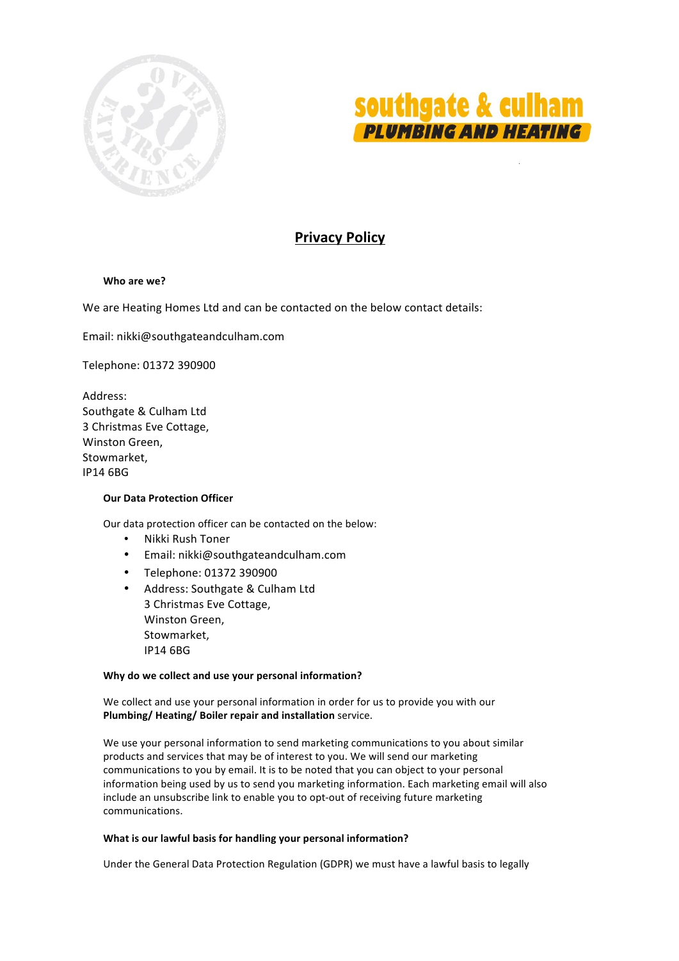



# **Privacy Policy**

# **Who are we?**

We are Heating Homes Ltd and can be contacted on the below contact details:

Email: nikki@southgateandculham.com

Telephone: 01372 390900

Address: Southgate & Culham Ltd 3 Christmas Eve Cottage, Winston Green, Stowmarket, IP14 6BG

# **Our Data Protection Officer**

Our data protection officer can be contacted on the below:

- Nikki Rush Toner
- Email: nikki@southgateandculham.com
- Telephone: 01372 390900
- Address: Southgate & Culham Ltd 3 Christmas Eve Cottage, Winston Green, Stowmarket, IP14 6BG

# Why do we collect and use your personal information?

We collect and use your personal information in order for us to provide you with our **Plumbing/ Heating/ Boiler repair and installation** service.

We use your personal information to send marketing communications to you about similar products and services that may be of interest to you. We will send our marketing communications to you by email. It is to be noted that you can object to your personal information being used by us to send you marketing information. Each marketing email will also include an unsubscribe link to enable you to opt-out of receiving future marketing communications. 

# **What is our lawful basis for handling your personal information?**

Under the General Data Protection Regulation (GDPR) we must have a lawful basis to legally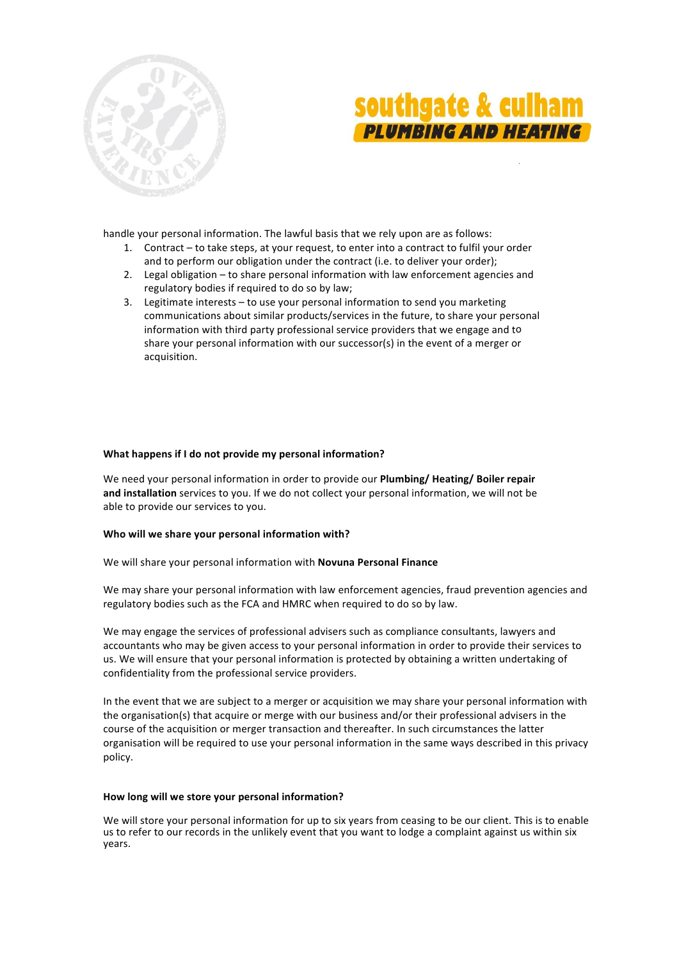



handle your personal information. The lawful basis that we rely upon are as follows:

- 1. Contract to take steps, at your request, to enter into a contract to fulfil your order and to perform our obligation under the contract (i.e. to deliver your order);
- 2. Legal obligation to share personal information with law enforcement agencies and regulatory bodies if required to do so by law;
- 3. Legitimate interests  $-$  to use your personal information to send you marketing communications about similar products/services in the future, to share your personal information with third party professional service providers that we engage and to share your personal information with our successor(s) in the event of a merger or acquisition.

# **What happens if I do not provide my personal information?**

We need your personal information in order to provide our **Plumbing/ Heating/ Boiler repair** and installation services to you. If we do not collect your personal information, we will not be able to provide our services to you.

# **Who will we share your personal information with?**

We will share your personal information with **Novuna Personal Finance**

We may share your personal information with law enforcement agencies, fraud prevention agencies and regulatory bodies such as the FCA and HMRC when required to do so by law.

We may engage the services of professional advisers such as compliance consultants, lawyers and accountants who may be given access to your personal information in order to provide their services to us. We will ensure that your personal information is protected by obtaining a written undertaking of confidentiality from the professional service providers.

In the event that we are subject to a merger or acquisition we may share your personal information with the organisation(s) that acquire or merge with our business and/or their professional advisers in the course of the acquisition or merger transaction and thereafter. In such circumstances the latter organisation will be required to use your personal information in the same ways described in this privacy policy. 

# **How long will we store your personal information?**

We will store your personal information for up to six years from ceasing to be our client. This is to enable us to refer to our records in the unlikely event that you want to lodge a complaint against us within six years.